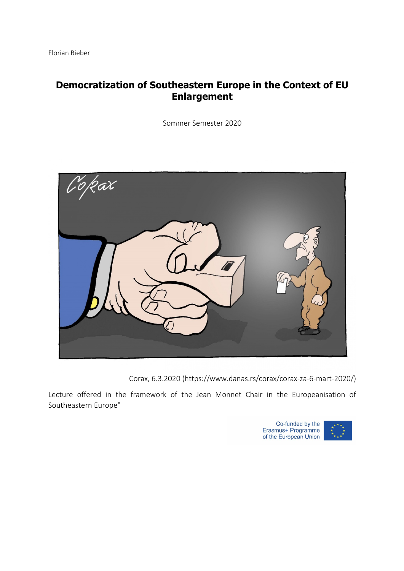# **Democratization of Southeastern Europe in the Context of EU Enlargement**

Sommer Semester 2020



Corax, 6.3.2020 (https://www.danas.rs/corax/corax-za-6-mart-2020/)

Lecture offered in the framework of the Jean Monnet Chair in the Europeanisation of Southeastern Europe"



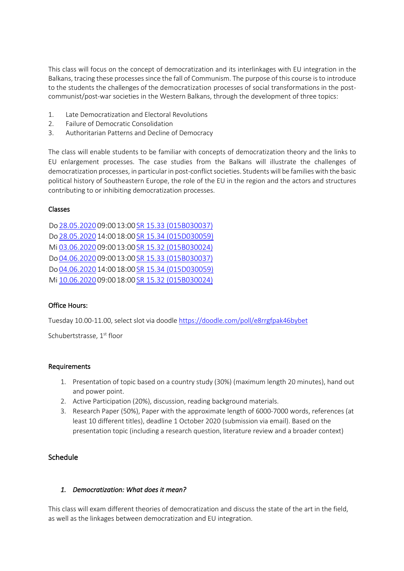This class will focus on the concept of democratization and its interlinkages with EU integration in the Balkans, tracing these processes since the fall of Communism. The purpose of this course is to introduce to the students the challenges of the democratization processes of social transformations in the postcommunist/post-war societies in the Western Balkans, through the development of three topics:

- 1. Late Democratization and Electoral Revolutions
- 2. Failure of Democratic Consolidation
- 3. Authoritarian Patterns and Decline of Democracy

The class will enable students to be familiar with concepts of democratization theory and the links to EU enlargement processes. The case studies from the Balkans will illustrate the challenges of democratization processes, in particular in post-conflict societies. Students will be families with the basic political history of Southeastern Europe, the role of the EU in the region and the actors and structures contributing to or inhibiting democratization processes.

#### Classes

Do 28.05.2020 09:0013:00 SR 15.33 (015B030037) Do 28.05.2020 14:0018:00 SR 15.34 (015D030059) Mi 03.06.2020 09:0013:00 SR 15.32 (015B030024) Do 04.06.2020 09:0013:00 SR 15.33 (015B030037) Do 04.06.2020 14:0018:00 SR 15.34 (015D030059) Mi 10.06.2020 09:0018:00 SR 15.32 (015B030024)

## Office Hours:

Tuesday 10.00-11.00, select slot via doodle https://doodle.com/poll/e8rrgfpak46bybet

Schubertstrasse, 1<sup>st</sup> floor

#### Requirements

- 1. Presentation of topic based on a country study (30%) (maximum length 20 minutes), hand out and power point.
- 2. Active Participation (20%), discussion, reading background materials.
- 3. Research Paper (50%), Paper with the approximate length of 6000-7000 words, references (at least 10 different titles), deadline 1 October 2020 (submission via email). Based on the presentation topic (including a research question, literature review and a broader context)

## Schedule

#### *1. Democratization: What does it mean?*

This class will exam different theories of democratization and discuss the state of the art in the field, as well as the linkages between democratization and EU integration.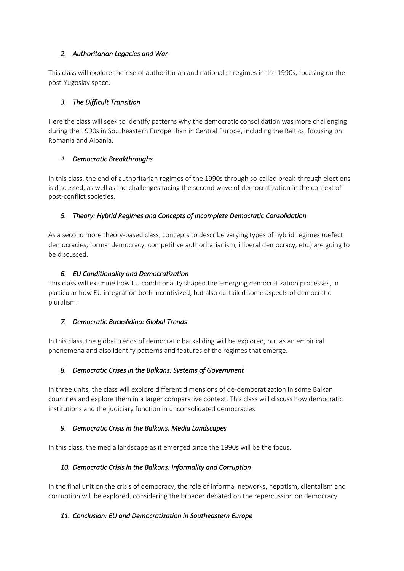# *2. Authoritarian Legacies and War*

This class will explore the rise of authoritarian and nationalist regimes in the 1990s, focusing on the post-Yugoslav space.

# *3. The Difficult Transition*

Here the class will seek to identify patterns why the democratic consolidation was more challenging during the 1990s in Southeastern Europe than in Central Europe, including the Baltics, focusing on Romania and Albania.

# *4. Democratic Breakthroughs*

In this class, the end of authoritarian regimes of the 1990s through so-called break-through elections is discussed, as well as the challenges facing the second wave of democratization in the context of post-conflict societies.

# *5. Theory: Hybrid Regimes and Concepts of Incomplete Democratic Consolidation*

As a second more theory-based class, concepts to describe varying types of hybrid regimes (defect democracies, formal democracy, competitive authoritarianism, illiberal democracy, etc.) are going to be discussed.

# *6. EU Conditionality and Democratization*

This class will examine how EU conditionality shaped the emerging democratization processes, in particular how EU integration both incentivized, but also curtailed some aspects of democratic pluralism.

## *7. Democratic Backsliding: Global Trends*

In this class, the global trends of democratic backsliding will be explored, but as an empirical phenomena and also identify patterns and features of the regimes that emerge.

# *8. Democratic Crises in the Balkans: Systems of Government*

In three units, the class will explore different dimensions of de-democratization in some Balkan countries and explore them in a larger comparative context. This class will discuss how democratic institutions and the judiciary function in unconsolidated democracies

## *9. Democratic Crisis in the Balkans. Media Landscapes*

In this class, the media landscape as it emerged since the 1990s will be the focus.

## *10. Democratic Crisis in the Balkans: Informality and Corruption*

In the final unit on the crisis of democracy, the role of informal networks, nepotism, clientalism and corruption will be explored, considering the broader debated on the repercussion on democracy

## *11. Conclusion: EU and Democratization in Southeastern Europe*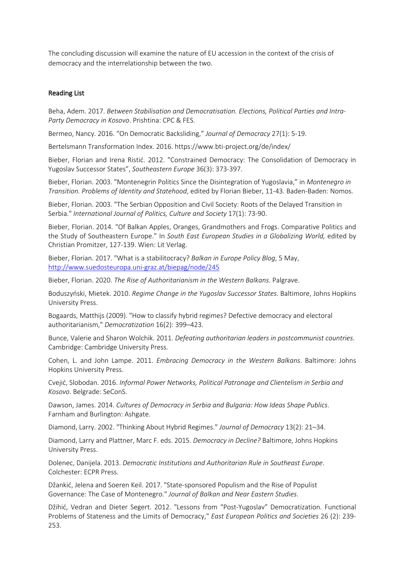The concluding discussion will examine the nature of EU accession in the context of the crisis of democracy and the interrelationship between the two.

#### Reading List

Beha, Adem. 2017. *Between Stabilisation and Democratisation. Elections, Political Parties and Intra-Party Democracy in Kosovo*. Prishtina: CPC & FES.

Bermeo, Nancy. 2016. "On Democratic Backsliding," *Journal of Democracy* 27(1): 5-19.

Bertelsmann Transformation Index. 2016. https://www.bti-project.org/de/index/

Bieber, Florian and Irena Ristić. 2012. "Constrained Democracy: The Consolidation of Democracy in Yugoslav Successor States", *Southeastern Europe* 36(3): 373-397.

Bieber, Florian. 2003. "Montenegrin Politics Since the Disintegration of Yugoslavia," in *Montenegro in Transition. Problems of Identity and Statehood*, edited by Florian Bieber, 11-43. Baden-Baden: Nomos.

Bieber, Florian. 2003. "The Serbian Opposition and Civil Society: Roots of the Delayed Transition in Serbia." *International Journal of Politics, Culture and Society* 17(1): 73-90.

Bieber, Florian. 2014. "Of Balkan Apples, Oranges, Grandmothers and Frogs. Comparative Politics and the Study of Southeastern Europe." In *South East European Studies in a Globalizing World,* edited by Christian Promitzer, 127-139. Wien: Lit Verlag.

Bieber, Florian. 2017. "What is a stabilitocracy? *Balkan in Europe Policy Blog*, 5 May, http://www.suedosteuropa.uni-graz.at/biepag/node/245

Bieber, Florian. 2020. *The Rise of Authoritarianism in the Western Balkans*. Palgrave.

Boduszyński, Mietek. 2010. *Regime Change in the Yugoslav Successor States*. Baltimore, Johns Hopkins University Press.

Bogaards, Matthijs (2009). "How to classify hybrid regimes? Defective democracy and electoral authoritarianism," *Democratization* 16(2): 399–423.

Bunce, Valerie and Sharon Wolchik. 2011*. Defeating authoritarian leaders in postcommunist countries*. Cambridge: Cambridge University Press.

Cohen, L. and John Lampe. 2011. *Embracing Democracy in the Western Balkans*. Baltimore: Johns Hopkins University Press.

Cvejić, Slobodan. 2016. *Informal Power Networks, Political Patronage and Clientelism in Serbia and Kosovo*. Belgrade: SeConS.

Dawson, James. 2014. *Cultures of Democracy in Serbia and Bulgaria: How Ideas Shape Publics*. Farnham and Burlington: Ashgate.

Diamond, Larry. 2002. "Thinking About Hybrid Regimes." *Journal of Democracy* 13(2): 21–34.

Diamond, Larry and Plattner, Marc F. eds. 2015. *Democracy in Decline?* Baltimore, Johns Hopkins University Press.

Dolenec, Danijela. 2013. *Democratic Institutions and Authoritarian Rule in Southeast Europe*. Colchester: ECPR Press.

Džankić, Jelena and Soeren Keil. 2017. "State-sponsored Populism and the Rise of Populist Governance: The Case of Montenegro." *Journal of Balkan and Near Eastern Studies*.

Džihić, Vedran and Dieter Segert. 2012. "Lessons from "Post-Yugoslav" Democratization. Functional Problems of Stateness and the Limits of Democracy," *East European Politics and Societies* 26 (2): 239- 253.